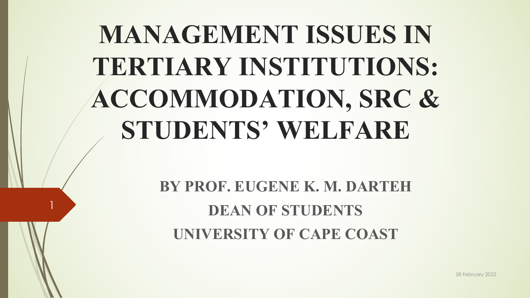# **MANAGEMENT ISSUES IN TERTIARY INSTITUTIONS: ACCOMMODATION, SRC & STUDENTS' WELFARE**

**BY PROF. EUGENE K. M. DARTEH DEAN OF STUDENTS UNIVERSITY OF CAPE COAST**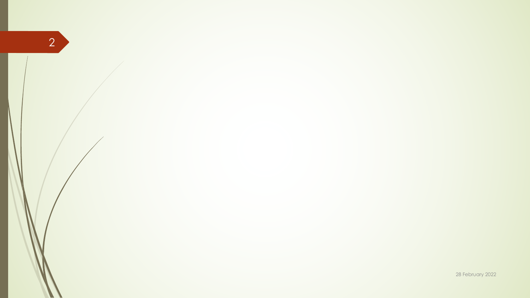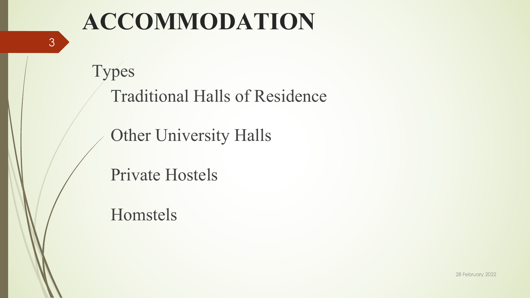### **ACCOMMODATION**

Types Traditional Halls of Residence

Other University Halls

Private Hostels

Homstels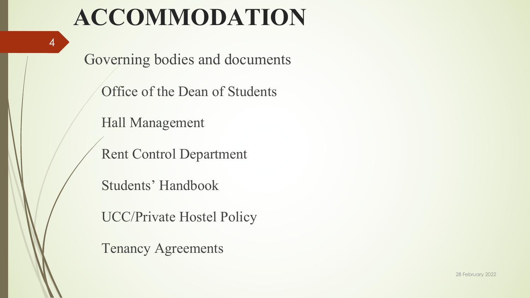# **ACCOMMODATION**

Governing bodies and documents

Office of the Dean of Students

Hall Management

4

Rent Control Department

Students' Handbook

UCC/Private Hostel Policy

Tenancy Agreements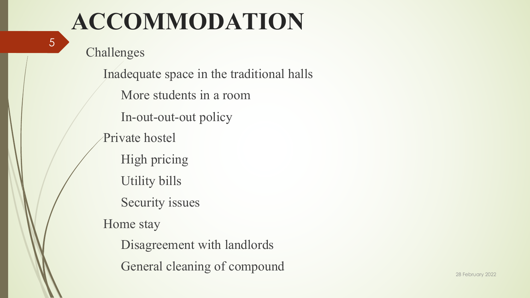Challenges

5

 Inadequate space in the traditional halls More students in a room In-out-out-out policy Private hostel High pricing Utility bills Security issues Home stay Disagreement with landlords General cleaning of compound 28 February 2022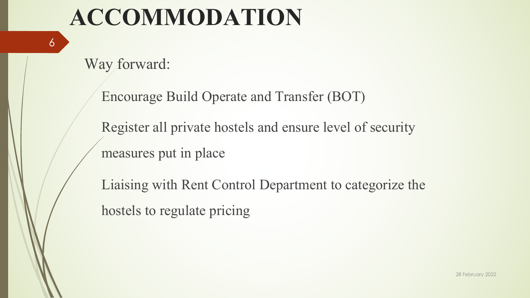# **ACCOMMODATION**

Way forward:

6

Encourage Build Operate and Transfer (BOT)

Register all private hostels and ensure level of security measures put in place

Liaising with Rent Control Department to categorize the hostels to regulate pricing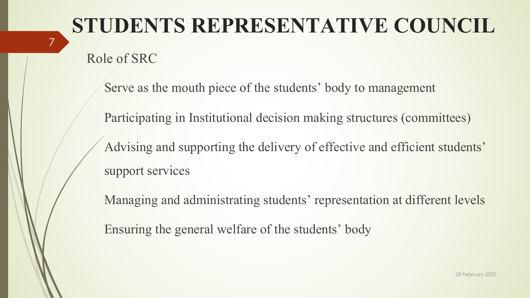# **STUDENTS REPRESENTATIVE COUNCIL** Role of SRC

 Serve as the mouth piece of the students' body to management Participating in Institutional decision making structures (committees) Advising and supporting the delivery of effective and efficient students' support services

 Managing and administrating students' representation at different levels Ensuring the general welfare of the students' body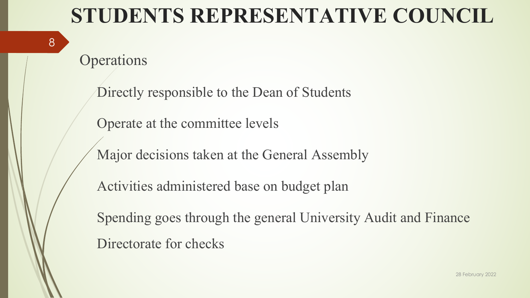### **STUDENTS REPRESENTATIVE COUNCIL**

**Operations** 

8

Directly responsible to the Dean of Students

Operate at the committee levels

Major decisions taken at the General Assembly

Activities administered base on budget plan

Spending goes through the general University Audit and Finance Directorate for checks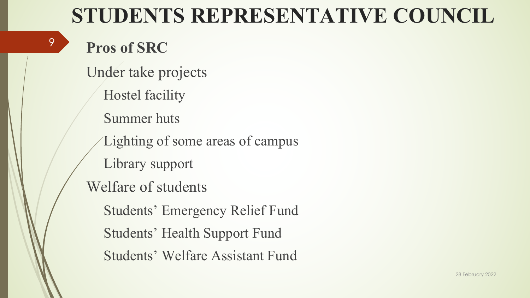### **STUDENTS REPRESENTATIVE COUNCIL**

**Pros of SRC**

9

 Under take projects Hostel facility

Summer huts

Lighting of some areas of campus

Library support

Welfare of students

Students' Emergency Relief Fund Students' Health Support Fund

Students' Welfare Assistant Fund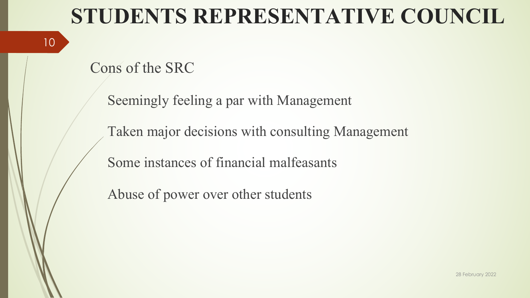### **STUDENTS REPRESENTATIVE COUNCIL**

Cons of the SRC

10

Seemingly feeling a par with Management

Taken major decisions with consulting Management

Some instances of financial malfeasants

Abuse of power over other students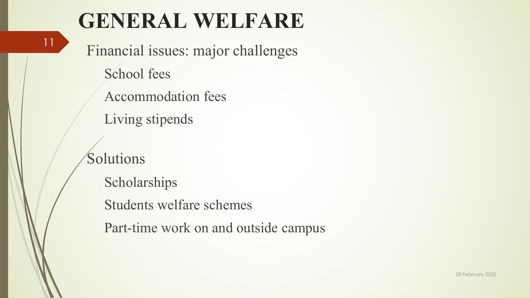### **GENERAL WELFARE** Financial issues: major challenges School fees Accommodation fees Living stipends Solutions Scholarships Students welfare schemes Part-time work on and outside campus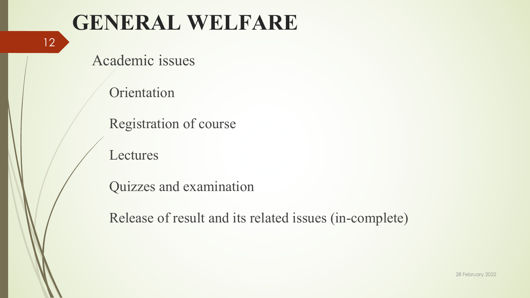12

Academic issues

**Orientation** 

Registration of course

**Lectures** 

Quizzes and examination

Release of result and its related issues (in-complete)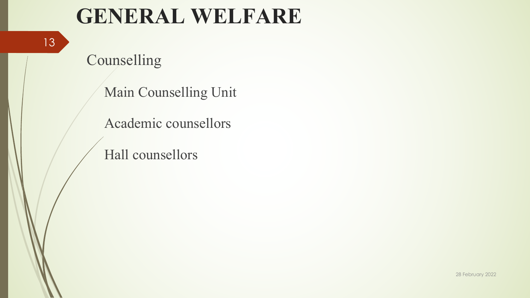13

Counselling

Main Counselling Unit

Academic counsellors

Hall counsellors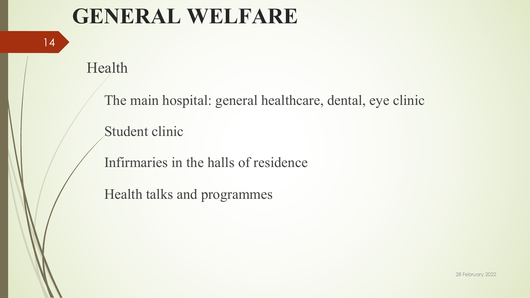Health

14

The main hospital: general healthcare, dental, eye clinic

Student clinic

Infirmaries in the halls of residence

Health talks and programmes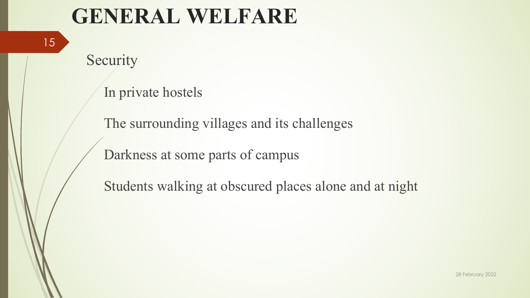15

Security

In private hostels

The surrounding villages and its challenges

Darkness at some parts of campus

Students walking at obscured places alone and at night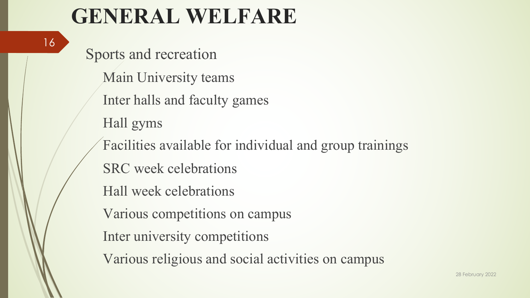16

 Sports and recreation Main University teams Inter halls and faculty games Hall gyms Facilities available for individual and group trainings SRC week celebrations Hall week celebrations Various competitions on campus Inter university competitions Various religious and social activities on campus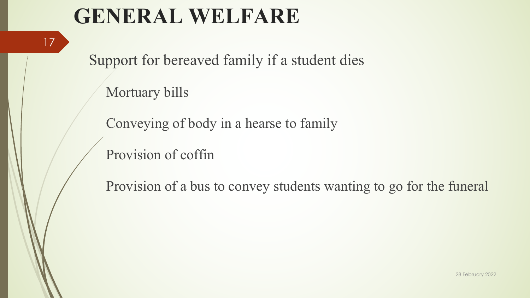17

Support for bereaved family if a student dies

Mortuary bills

Conveying of body in a hearse to family

Provision of coffin

Provision of a bus to convey students wanting to go for the funeral